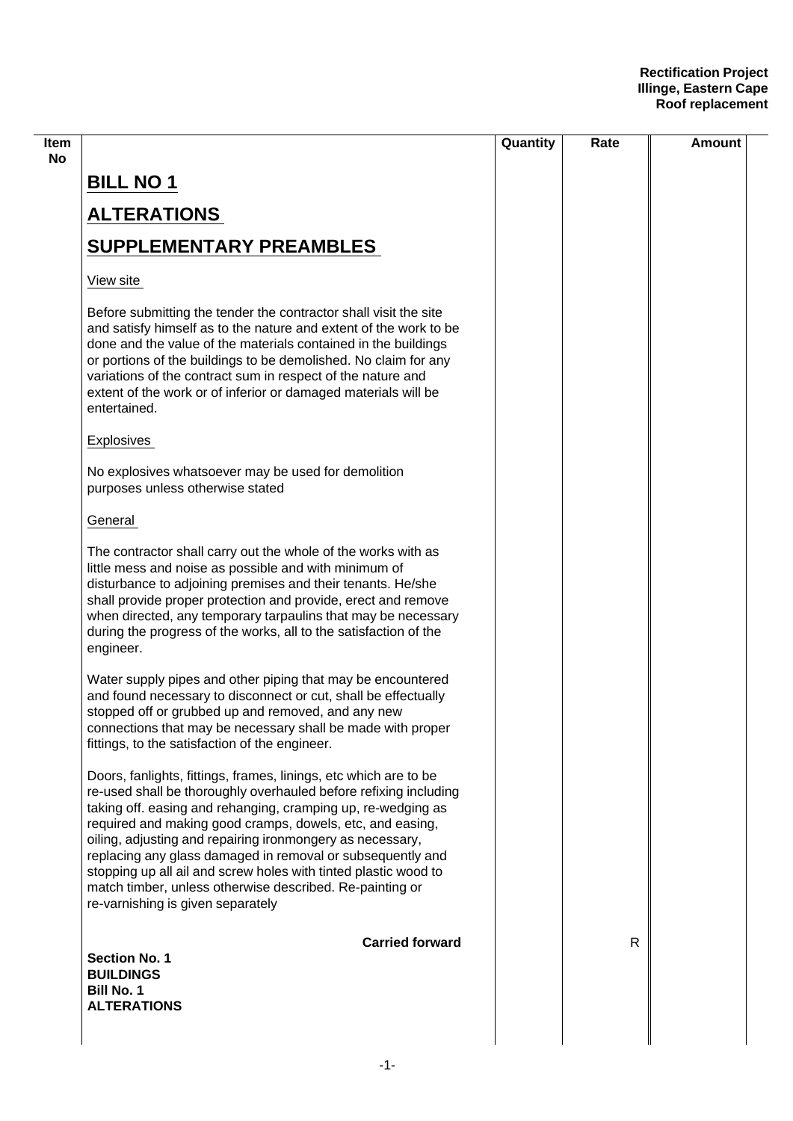|                                                                                                                                                                                                                                                                                                                                                                                                                                                                                                                                                                  | Quantity | Rate | Amount |
|------------------------------------------------------------------------------------------------------------------------------------------------------------------------------------------------------------------------------------------------------------------------------------------------------------------------------------------------------------------------------------------------------------------------------------------------------------------------------------------------------------------------------------------------------------------|----------|------|--------|
| <b>BILL NO 1</b>                                                                                                                                                                                                                                                                                                                                                                                                                                                                                                                                                 |          |      |        |
| <b>ALTERATIONS</b>                                                                                                                                                                                                                                                                                                                                                                                                                                                                                                                                               |          |      |        |
| <b>SUPPLEMENTARY PREAMBLES</b>                                                                                                                                                                                                                                                                                                                                                                                                                                                                                                                                   |          |      |        |
| View site                                                                                                                                                                                                                                                                                                                                                                                                                                                                                                                                                        |          |      |        |
| Before submitting the tender the contractor shall visit the site<br>and satisfy himself as to the nature and extent of the work to be<br>done and the value of the materials contained in the buildings<br>or portions of the buildings to be demolished. No claim for any<br>variations of the contract sum in respect of the nature and<br>extent of the work or of inferior or damaged materials will be<br>entertained.                                                                                                                                      |          |      |        |
| <b>Explosives</b>                                                                                                                                                                                                                                                                                                                                                                                                                                                                                                                                                |          |      |        |
| No explosives whatsoever may be used for demolition<br>purposes unless otherwise stated                                                                                                                                                                                                                                                                                                                                                                                                                                                                          |          |      |        |
| General                                                                                                                                                                                                                                                                                                                                                                                                                                                                                                                                                          |          |      |        |
| The contractor shall carry out the whole of the works with as<br>little mess and noise as possible and with minimum of<br>disturbance to adjoining premises and their tenants. He/she<br>shall provide proper protection and provide, erect and remove<br>when directed, any temporary tarpaulins that may be necessary<br>during the progress of the works, all to the satisfaction of the<br>engineer.                                                                                                                                                         |          |      |        |
| Water supply pipes and other piping that may be encountered<br>and found necessary to disconnect or cut, shall be effectually<br>stopped off or grubbed up and removed, and any new<br>connections that may be necessary shall be made with proper<br>fittings, to the satisfaction of the engineer.                                                                                                                                                                                                                                                             |          |      |        |
| Doors, fanlights, fittings, frames, linings, etc which are to be<br>re-used shall be thoroughly overhauled before refixing including<br>taking off. easing and rehanging, cramping up, re-wedging as<br>required and making good cramps, dowels, etc, and easing,<br>oiling, adjusting and repairing ironmongery as necessary,<br>replacing any glass damaged in removal or subsequently and<br>stopping up all ail and screw holes with tinted plastic wood to<br>match timber, unless otherwise described. Re-painting or<br>re-varnishing is given separately |          |      |        |
| <b>Carried forward</b><br><b>Section No. 1</b><br><b>BUILDINGS</b><br><b>Bill No. 1</b>                                                                                                                                                                                                                                                                                                                                                                                                                                                                          |          | R    |        |
| <b>ALTERATIONS</b>                                                                                                                                                                                                                                                                                                                                                                                                                                                                                                                                               |          |      |        |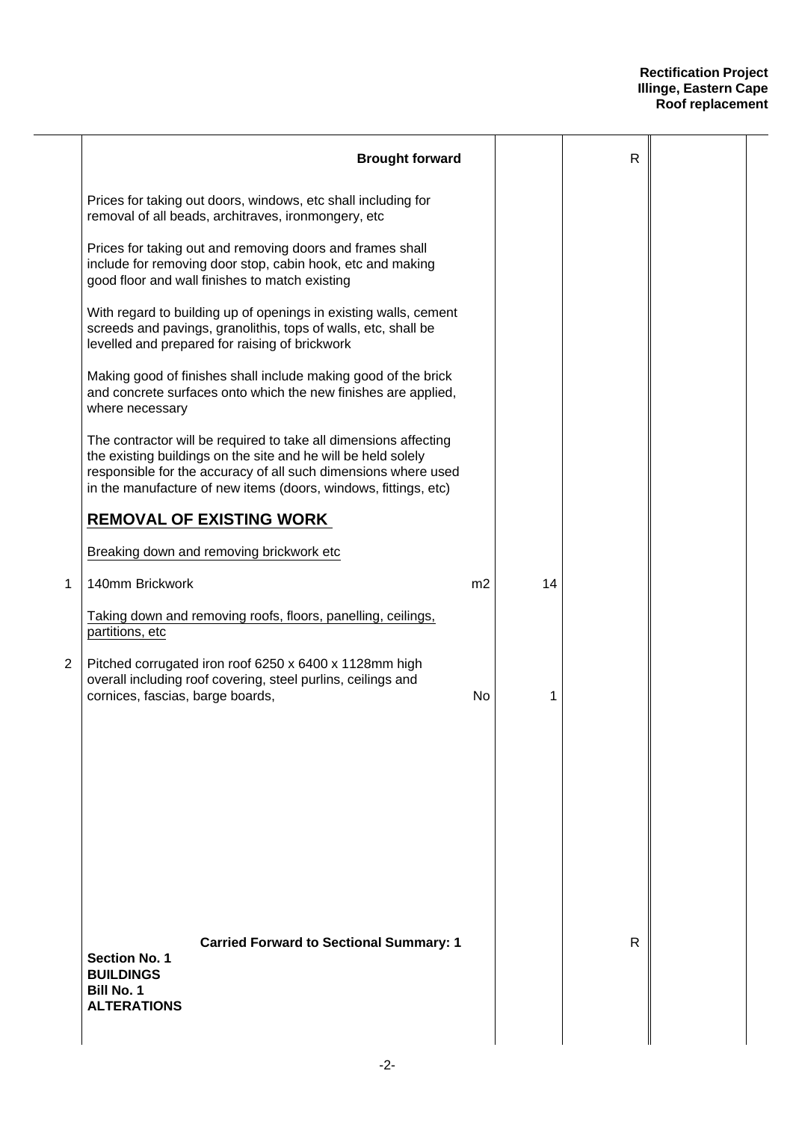|   | <b>Brought forward</b>                                                                                                                                                                                                                                                 |                |    | $\mathsf{R}$ |  |
|---|------------------------------------------------------------------------------------------------------------------------------------------------------------------------------------------------------------------------------------------------------------------------|----------------|----|--------------|--|
|   | Prices for taking out doors, windows, etc shall including for<br>removal of all beads, architraves, ironmongery, etc                                                                                                                                                   |                |    |              |  |
|   | Prices for taking out and removing doors and frames shall<br>include for removing door stop, cabin hook, etc and making<br>good floor and wall finishes to match existing                                                                                              |                |    |              |  |
|   | With regard to building up of openings in existing walls, cement<br>screeds and pavings, granolithis, tops of walls, etc, shall be<br>levelled and prepared for raising of brickwork                                                                                   |                |    |              |  |
|   | Making good of finishes shall include making good of the brick<br>and concrete surfaces onto which the new finishes are applied,<br>where necessary                                                                                                                    |                |    |              |  |
|   | The contractor will be required to take all dimensions affecting<br>the existing buildings on the site and he will be held solely<br>responsible for the accuracy of all such dimensions where used<br>in the manufacture of new items (doors, windows, fittings, etc) |                |    |              |  |
|   | <b>REMOVAL OF EXISTING WORK</b>                                                                                                                                                                                                                                        |                |    |              |  |
|   | Breaking down and removing brickwork etc                                                                                                                                                                                                                               |                |    |              |  |
| 1 | 140mm Brickwork                                                                                                                                                                                                                                                        | m <sub>2</sub> | 14 |              |  |
|   | Taking down and removing roofs, floors, panelling, ceilings,<br>partitions, etc                                                                                                                                                                                        |                |    |              |  |
| 2 | Pitched corrugated iron roof 6250 x 6400 x 1128mm high<br>overall including roof covering, steel purlins, ceilings and<br>cornices, fascias, barge boards,                                                                                                             | No             | 1  |              |  |
|   |                                                                                                                                                                                                                                                                        |                |    |              |  |
|   |                                                                                                                                                                                                                                                                        |                |    |              |  |
|   |                                                                                                                                                                                                                                                                        |                |    |              |  |
|   |                                                                                                                                                                                                                                                                        |                |    |              |  |
|   |                                                                                                                                                                                                                                                                        |                |    |              |  |
|   |                                                                                                                                                                                                                                                                        |                |    |              |  |
|   | <b>Carried Forward to Sectional Summary: 1</b><br><b>Section No. 1</b><br><b>BUILDINGS</b><br><b>Bill No. 1</b><br><b>ALTERATIONS</b>                                                                                                                                  |                |    | R            |  |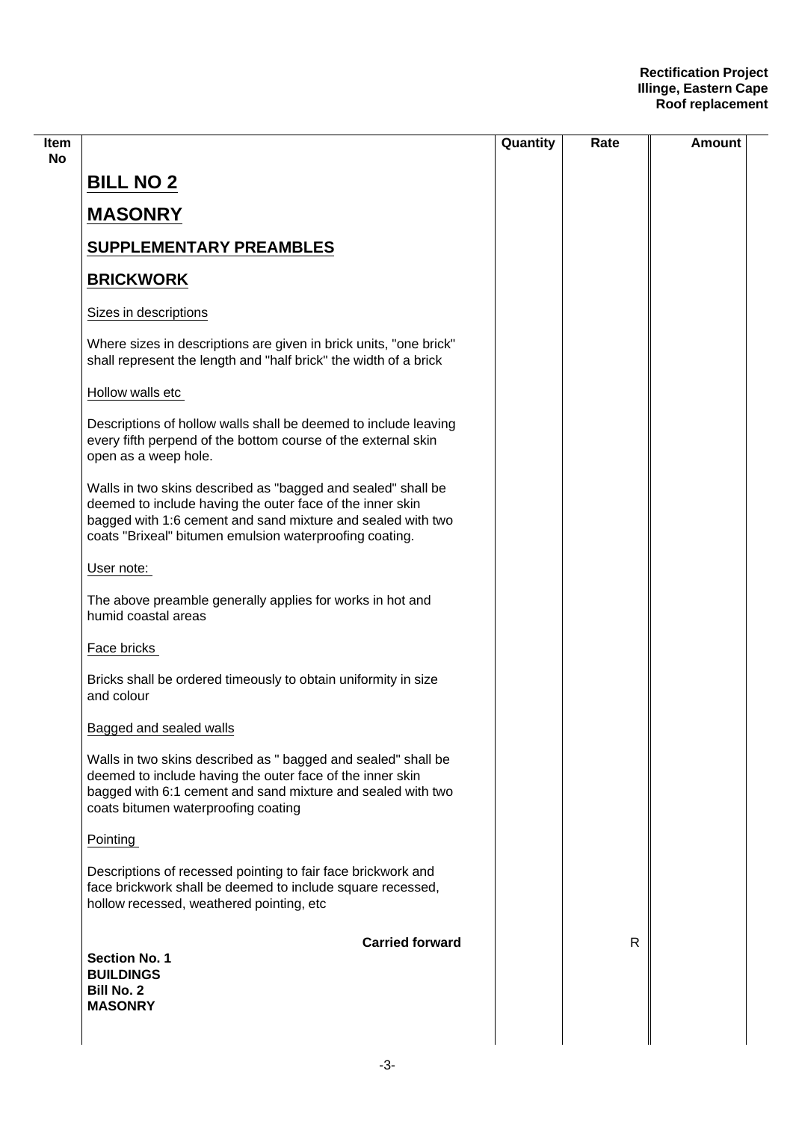| ltem                                                                                                                 |                                                                                                                                       | Quantity | Rate | Amount |
|----------------------------------------------------------------------------------------------------------------------|---------------------------------------------------------------------------------------------------------------------------------------|----------|------|--------|
| <b>BILL NO 2</b>                                                                                                     |                                                                                                                                       |          |      |        |
| <b>MASONRY</b>                                                                                                       |                                                                                                                                       |          |      |        |
| <b>SUPPLEMENTARY PREAMBLES</b>                                                                                       |                                                                                                                                       |          |      |        |
| <b>BRICKWORK</b>                                                                                                     |                                                                                                                                       |          |      |        |
| Sizes in descriptions                                                                                                |                                                                                                                                       |          |      |        |
|                                                                                                                      | Where sizes in descriptions are given in brick units, "one brick"<br>shall represent the length and "half brick" the width of a brick |          |      |        |
| Hollow walls etc                                                                                                     |                                                                                                                                       |          |      |        |
| open as a weep hole.                                                                                                 | Descriptions of hollow walls shall be deemed to include leaving<br>every fifth perpend of the bottom course of the external skin      |          |      |        |
| deemed to include having the outer face of the inner skin<br>coats "Brixeal" bitumen emulsion waterproofing coating. | Walls in two skins described as "bagged and sealed" shall be<br>bagged with 1:6 cement and sand mixture and sealed with two           |          |      |        |
| User note:                                                                                                           |                                                                                                                                       |          |      |        |
| humid coastal areas                                                                                                  | The above preamble generally applies for works in hot and                                                                             |          |      |        |
| Face bricks                                                                                                          |                                                                                                                                       |          |      |        |
| and colour                                                                                                           | Bricks shall be ordered timeously to obtain uniformity in size                                                                        |          |      |        |
| Bagged and sealed walls                                                                                              |                                                                                                                                       |          |      |        |
| deemed to include having the outer face of the inner skin<br>coats bitumen waterproofing coating                     | Walls in two skins described as " bagged and sealed" shall be<br>bagged with 6:1 cement and sand mixture and sealed with two          |          |      |        |
| Pointing                                                                                                             |                                                                                                                                       |          |      |        |
| hollow recessed, weathered pointing, etc                                                                             | Descriptions of recessed pointing to fair face brickwork and<br>face brickwork shall be deemed to include square recessed,            |          |      |        |
| <b>Section No. 1</b><br><b>BUILDINGS</b><br><b>Bill No. 2</b><br><b>MASONRY</b>                                      | <b>Carried forward</b>                                                                                                                |          | R    |        |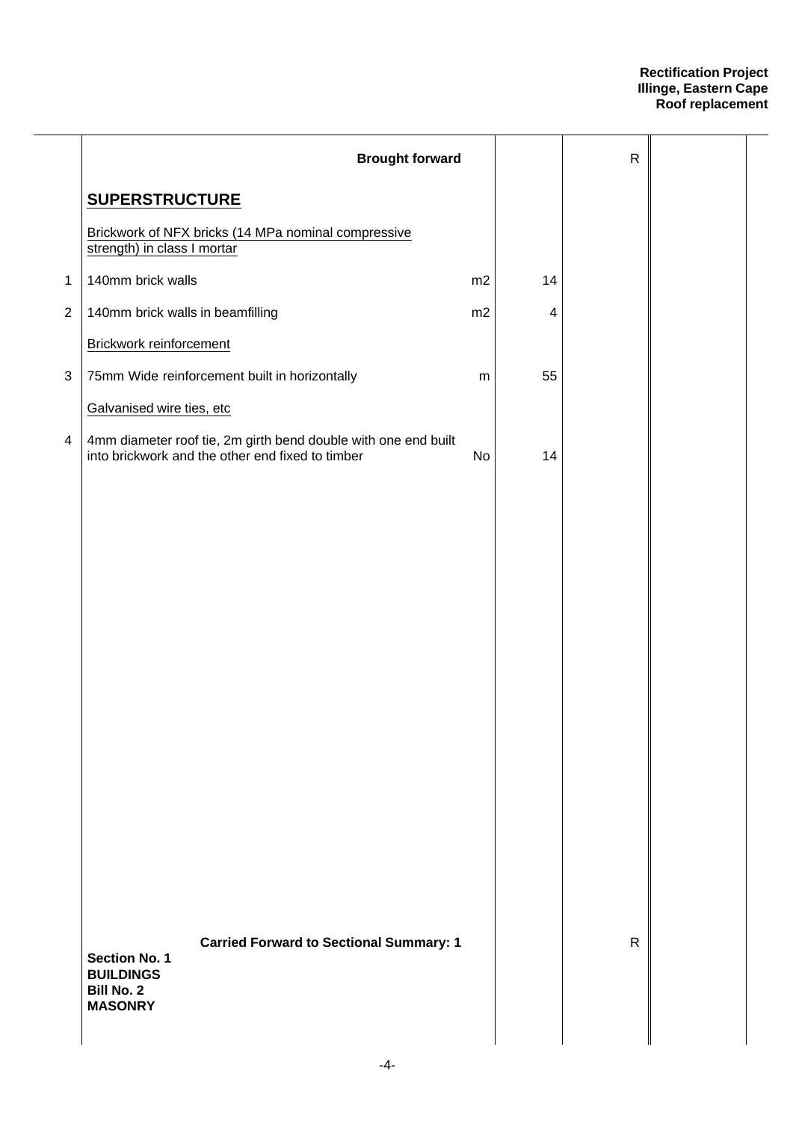|                | <b>Brought forward</b>                                                                                                            |    |    | $\mathsf R$  |  |
|----------------|-----------------------------------------------------------------------------------------------------------------------------------|----|----|--------------|--|
|                | <b>SUPERSTRUCTURE</b>                                                                                                             |    |    |              |  |
|                | Brickwork of NFX bricks (14 MPa nominal compressive<br>strength) in class I mortar                                                |    |    |              |  |
| $\mathbf{1}$   | 140mm brick walls                                                                                                                 | m2 | 14 |              |  |
| $\overline{2}$ | 140mm brick walls in beamfilling                                                                                                  | m2 | 4  |              |  |
|                | Brickwork reinforcement                                                                                                           |    |    |              |  |
| $\sqrt{3}$     | 75mm Wide reinforcement built in horizontally                                                                                     | m  | 55 |              |  |
|                | Galvanised wire ties, etc                                                                                                         |    |    |              |  |
| 4              | 4mm diameter roof tie, 2m girth bend double with one end built<br>into brickwork and the other end fixed to timber                | No | 14 |              |  |
|                |                                                                                                                                   |    |    |              |  |
|                |                                                                                                                                   |    |    |              |  |
|                |                                                                                                                                   |    |    |              |  |
|                |                                                                                                                                   |    |    |              |  |
|                |                                                                                                                                   |    |    |              |  |
|                |                                                                                                                                   |    |    |              |  |
|                |                                                                                                                                   |    |    |              |  |
|                |                                                                                                                                   |    |    |              |  |
|                |                                                                                                                                   |    |    |              |  |
|                |                                                                                                                                   |    |    |              |  |
|                |                                                                                                                                   |    |    |              |  |
|                |                                                                                                                                   |    |    |              |  |
|                |                                                                                                                                   |    |    |              |  |
|                |                                                                                                                                   |    |    |              |  |
|                | <b>Carried Forward to Sectional Summary: 1</b><br><b>Section No. 1</b><br><b>BUILDINGS</b><br><b>Bill No. 2</b><br><b>MASONRY</b> |    |    | $\mathsf{R}$ |  |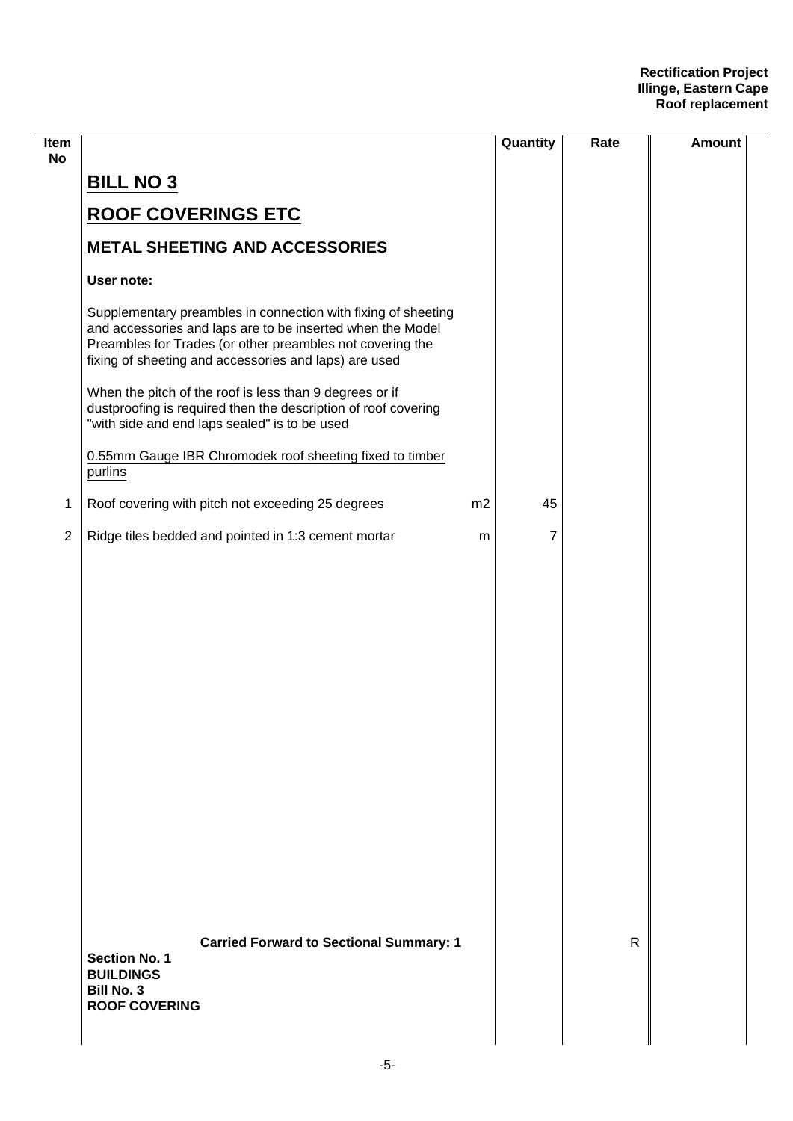| Item<br><b>No</b> |                                                                                                                                                                                                                                                   |    | Quantity | Rate         | <b>Amount</b> |
|-------------------|---------------------------------------------------------------------------------------------------------------------------------------------------------------------------------------------------------------------------------------------------|----|----------|--------------|---------------|
|                   | <b>BILL NO 3</b>                                                                                                                                                                                                                                  |    |          |              |               |
|                   | <b>ROOF COVERINGS ETC</b>                                                                                                                                                                                                                         |    |          |              |               |
|                   | <b>METAL SHEETING AND ACCESSORIES</b>                                                                                                                                                                                                             |    |          |              |               |
|                   | User note:                                                                                                                                                                                                                                        |    |          |              |               |
|                   | Supplementary preambles in connection with fixing of sheeting<br>and accessories and laps are to be inserted when the Model<br>Preambles for Trades (or other preambles not covering the<br>fixing of sheeting and accessories and laps) are used |    |          |              |               |
|                   | When the pitch of the roof is less than 9 degrees or if<br>dustproofing is required then the description of roof covering<br>"with side and end laps sealed" is to be used                                                                        |    |          |              |               |
|                   | 0.55mm Gauge IBR Chromodek roof sheeting fixed to timber<br>purlins                                                                                                                                                                               |    |          |              |               |
| 1                 | Roof covering with pitch not exceeding 25 degrees                                                                                                                                                                                                 | m2 | 45       |              |               |
| $\overline{2}$    | Ridge tiles bedded and pointed in 1:3 cement mortar                                                                                                                                                                                               | m  | 7        |              |               |
|                   |                                                                                                                                                                                                                                                   |    |          |              |               |
|                   | <b>Carried Forward to Sectional Summary: 1</b><br><b>Section No. 1</b><br><b>BUILDINGS</b><br><b>Bill No. 3</b><br><b>ROOF COVERING</b>                                                                                                           |    |          | $\mathsf{R}$ |               |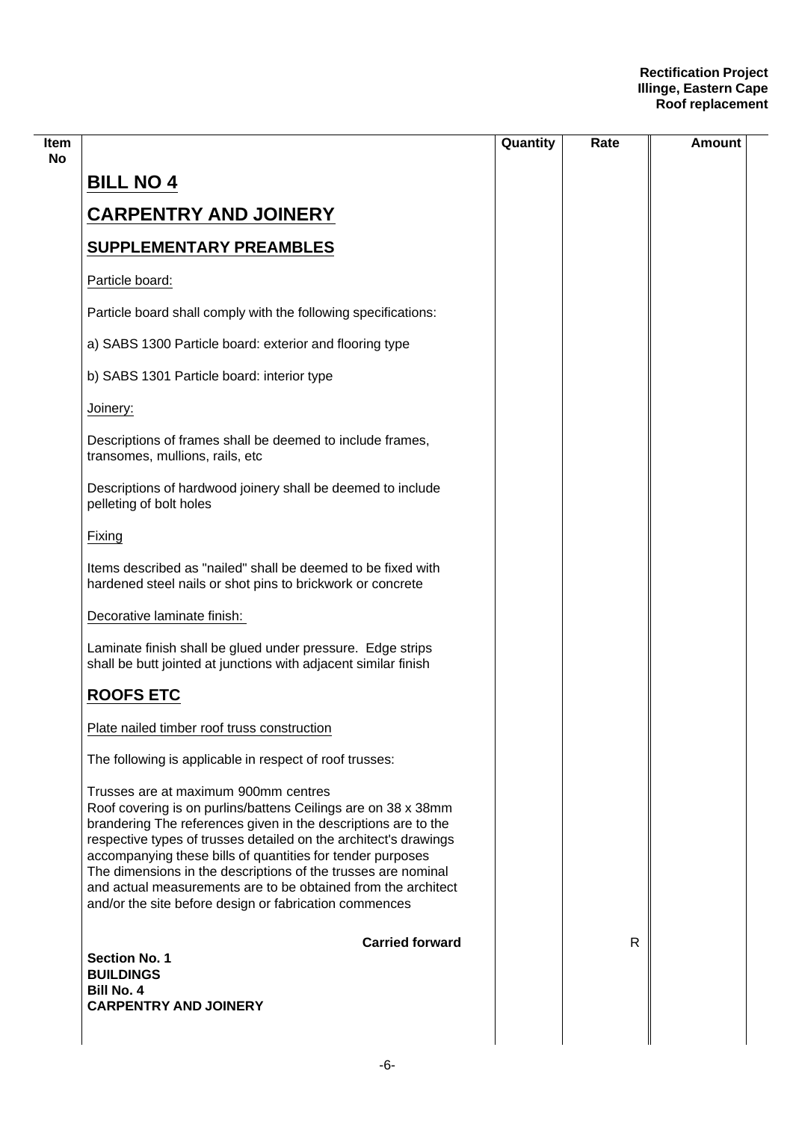|                                                                                                                                                                                                                                                                                                                                                                                                                                                                                                       | Quantity | Rate | Amount |
|-------------------------------------------------------------------------------------------------------------------------------------------------------------------------------------------------------------------------------------------------------------------------------------------------------------------------------------------------------------------------------------------------------------------------------------------------------------------------------------------------------|----------|------|--------|
| <b>BILL NO 4</b>                                                                                                                                                                                                                                                                                                                                                                                                                                                                                      |          |      |        |
| <b>CARPENTRY AND JOINERY</b>                                                                                                                                                                                                                                                                                                                                                                                                                                                                          |          |      |        |
| <b>SUPPLEMENTARY PREAMBLES</b>                                                                                                                                                                                                                                                                                                                                                                                                                                                                        |          |      |        |
| Particle board:                                                                                                                                                                                                                                                                                                                                                                                                                                                                                       |          |      |        |
| Particle board shall comply with the following specifications:                                                                                                                                                                                                                                                                                                                                                                                                                                        |          |      |        |
| a) SABS 1300 Particle board: exterior and flooring type                                                                                                                                                                                                                                                                                                                                                                                                                                               |          |      |        |
| b) SABS 1301 Particle board: interior type                                                                                                                                                                                                                                                                                                                                                                                                                                                            |          |      |        |
| Joinery:                                                                                                                                                                                                                                                                                                                                                                                                                                                                                              |          |      |        |
| Descriptions of frames shall be deemed to include frames,<br>transomes, mullions, rails, etc                                                                                                                                                                                                                                                                                                                                                                                                          |          |      |        |
| Descriptions of hardwood joinery shall be deemed to include<br>pelleting of bolt holes                                                                                                                                                                                                                                                                                                                                                                                                                |          |      |        |
| Fixing                                                                                                                                                                                                                                                                                                                                                                                                                                                                                                |          |      |        |
| Items described as "nailed" shall be deemed to be fixed with<br>hardened steel nails or shot pins to brickwork or concrete                                                                                                                                                                                                                                                                                                                                                                            |          |      |        |
| Decorative laminate finish:                                                                                                                                                                                                                                                                                                                                                                                                                                                                           |          |      |        |
| Laminate finish shall be glued under pressure. Edge strips<br>shall be butt jointed at junctions with adjacent similar finish                                                                                                                                                                                                                                                                                                                                                                         |          |      |        |
| <b>ROOFS ETC</b>                                                                                                                                                                                                                                                                                                                                                                                                                                                                                      |          |      |        |
| Plate nailed timber roof truss construction                                                                                                                                                                                                                                                                                                                                                                                                                                                           |          |      |        |
| The following is applicable in respect of roof trusses:                                                                                                                                                                                                                                                                                                                                                                                                                                               |          |      |        |
| Trusses are at maximum 900mm centres<br>Roof covering is on purlins/battens Ceilings are on 38 x 38mm<br>brandering The references given in the descriptions are to the<br>respective types of trusses detailed on the architect's drawings<br>accompanying these bills of quantities for tender purposes<br>The dimensions in the descriptions of the trusses are nominal<br>and actual measurements are to be obtained from the architect<br>and/or the site before design or fabrication commences |          |      |        |
| <b>Carried forward</b>                                                                                                                                                                                                                                                                                                                                                                                                                                                                                |          | R    |        |
| <b>Section No. 1</b><br><b>BUILDINGS</b>                                                                                                                                                                                                                                                                                                                                                                                                                                                              |          |      |        |
| <b>Bill No. 4</b><br><b>CARPENTRY AND JOINERY</b>                                                                                                                                                                                                                                                                                                                                                                                                                                                     |          |      |        |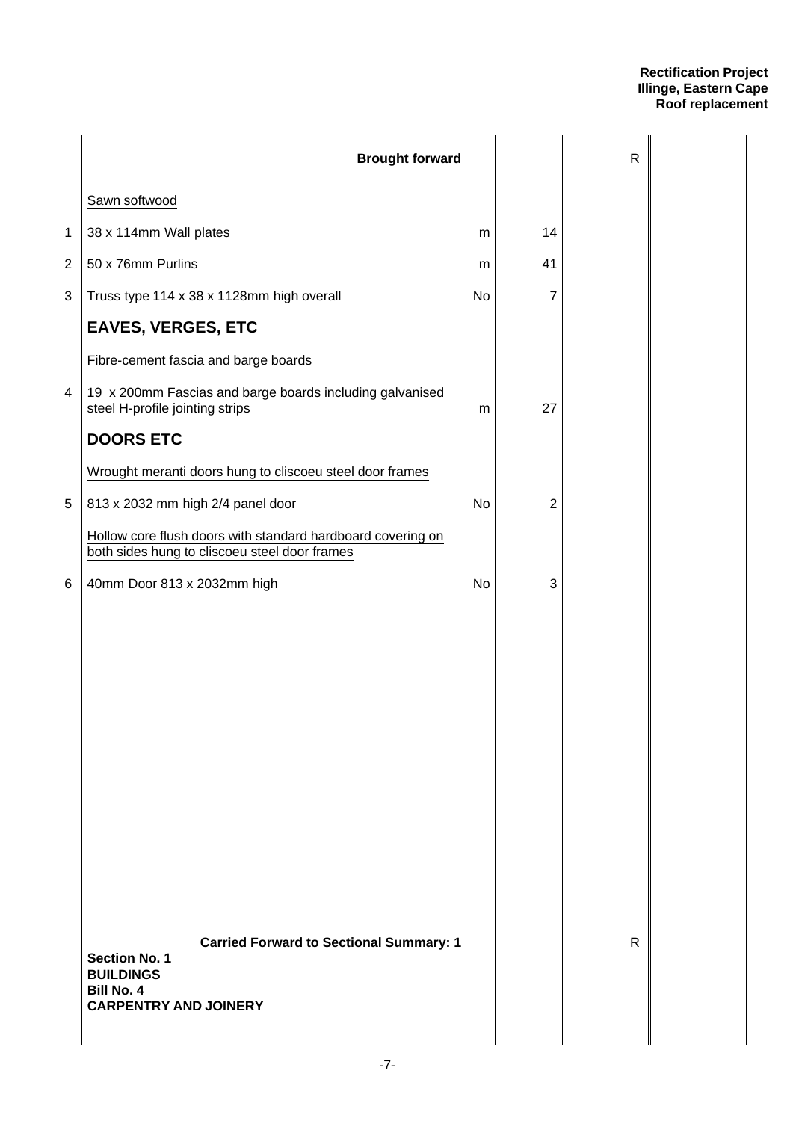|              | <b>Brought forward</b>                                                                                                                          |           |                | ${\sf R}$    |  |
|--------------|-------------------------------------------------------------------------------------------------------------------------------------------------|-----------|----------------|--------------|--|
|              | Sawn softwood                                                                                                                                   |           |                |              |  |
| 1            | 38 x 114mm Wall plates                                                                                                                          | m         | 14             |              |  |
| $\mathbf{2}$ | 50 x 76mm Purlins                                                                                                                               | m         | 41             |              |  |
| 3            | Truss type 114 x 38 x 1128mm high overall                                                                                                       | <b>No</b> | 7              |              |  |
|              | <b>EAVES, VERGES, ETC</b>                                                                                                                       |           |                |              |  |
|              | Fibre-cement fascia and barge boards                                                                                                            |           |                |              |  |
| 4            | 19 x 200mm Fascias and barge boards including galvanised<br>steel H-profile jointing strips                                                     | m         | 27             |              |  |
|              | <b>DOORS ETC</b>                                                                                                                                |           |                |              |  |
|              | Wrought meranti doors hung to cliscoeu steel door frames                                                                                        |           |                |              |  |
| $\,$ 5 $\,$  | 813 x 2032 mm high 2/4 panel door                                                                                                               | No        | $\overline{2}$ |              |  |
|              | Hollow core flush doors with standard hardboard covering on<br>both sides hung to cliscoeu steel door frames                                    |           |                |              |  |
| 6            | 40mm Door 813 x 2032mm high                                                                                                                     | No        | 3              |              |  |
|              |                                                                                                                                                 |           |                |              |  |
|              |                                                                                                                                                 |           |                |              |  |
|              |                                                                                                                                                 |           |                |              |  |
|              |                                                                                                                                                 |           |                |              |  |
|              |                                                                                                                                                 |           |                |              |  |
|              |                                                                                                                                                 |           |                |              |  |
|              |                                                                                                                                                 |           |                |              |  |
|              |                                                                                                                                                 |           |                |              |  |
|              |                                                                                                                                                 |           |                |              |  |
|              |                                                                                                                                                 |           |                |              |  |
|              | <b>Carried Forward to Sectional Summary: 1</b><br><b>Section No. 1</b><br><b>BUILDINGS</b><br><b>Bill No. 4</b><br><b>CARPENTRY AND JOINERY</b> |           |                | $\mathsf{R}$ |  |
|              |                                                                                                                                                 |           |                |              |  |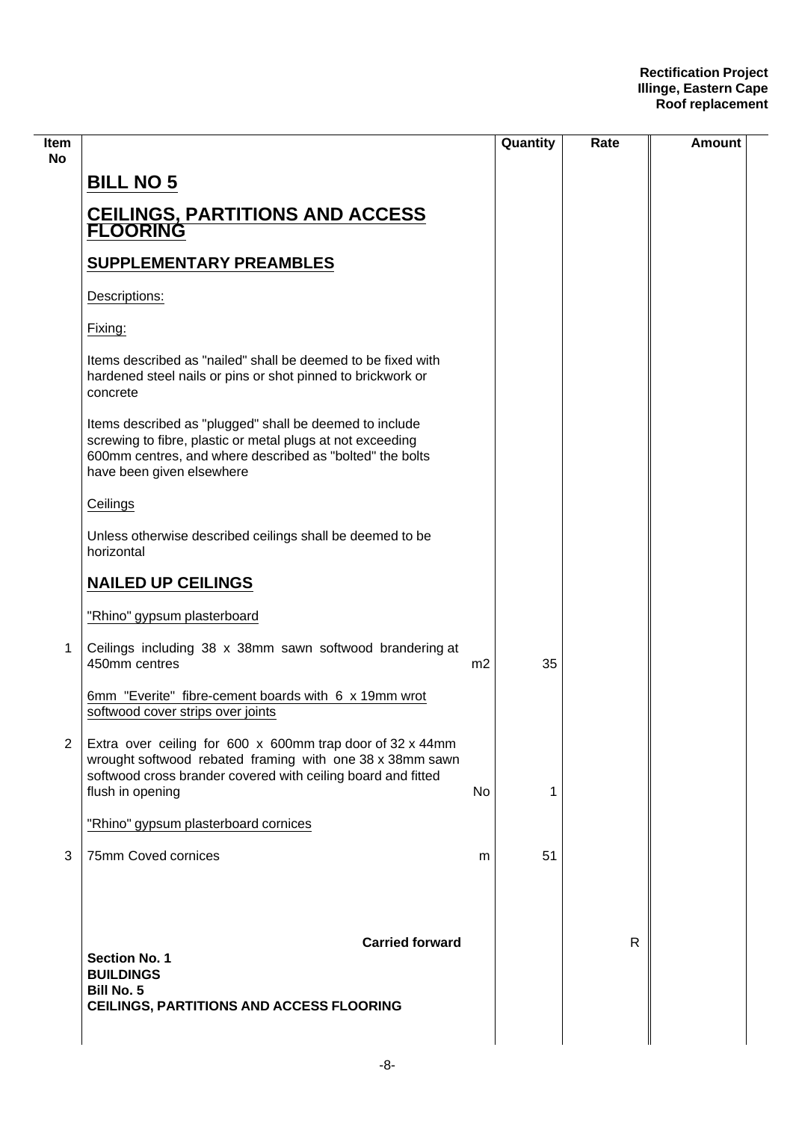| ltem<br>No     |                                                                                                                                                                                                                |                | Quantity | Rate | <b>Amount</b> |
|----------------|----------------------------------------------------------------------------------------------------------------------------------------------------------------------------------------------------------------|----------------|----------|------|---------------|
|                | <b>BILL NO 5</b>                                                                                                                                                                                               |                |          |      |               |
|                | <b>CEILINGS, PARTITIONS AND ACCESS<br/>FLOORING</b>                                                                                                                                                            |                |          |      |               |
|                | <b>SUPPLEMENTARY PREAMBLES</b>                                                                                                                                                                                 |                |          |      |               |
|                | Descriptions:                                                                                                                                                                                                  |                |          |      |               |
|                | Fixing:                                                                                                                                                                                                        |                |          |      |               |
|                | Items described as "nailed" shall be deemed to be fixed with<br>hardened steel nails or pins or shot pinned to brickwork or<br>concrete                                                                        |                |          |      |               |
|                | Items described as "plugged" shall be deemed to include<br>screwing to fibre, plastic or metal plugs at not exceeding<br>600mm centres, and where described as "bolted" the bolts<br>have been given elsewhere |                |          |      |               |
|                | Ceilings                                                                                                                                                                                                       |                |          |      |               |
|                | Unless otherwise described ceilings shall be deemed to be<br>horizontal                                                                                                                                        |                |          |      |               |
|                | <b>NAILED UP CEILINGS</b>                                                                                                                                                                                      |                |          |      |               |
|                | "Rhino" gypsum plasterboard                                                                                                                                                                                    |                |          |      |               |
| 1              | Ceilings including 38 x 38mm sawn softwood brandering at<br>450mm centres                                                                                                                                      | m <sub>2</sub> | 35       |      |               |
|                | 6mm "Everite" fibre-cement boards with 6 x 19mm wrot<br>softwood cover strips over joints                                                                                                                      |                |          |      |               |
| $\overline{2}$ | Extra over ceiling for 600 x 600mm trap door of 32 x 44mm<br>wrought softwood rebated framing with one 38 x 38mm sawn<br>softwood cross brander covered with ceiling board and fitted<br>flush in opening      | No             | 1        |      |               |
|                | "Rhino" gypsum plasterboard cornices                                                                                                                                                                           |                |          |      |               |
| 3              | 75mm Coved cornices                                                                                                                                                                                            | m              | 51       |      |               |
|                | <b>Carried forward</b><br><b>Section No. 1</b><br><b>BUILDINGS</b><br><b>Bill No. 5</b><br>CEILINGS, PARTITIONS AND ACCESS FLOORING                                                                            |                |          | R    |               |
|                |                                                                                                                                                                                                                |                |          |      |               |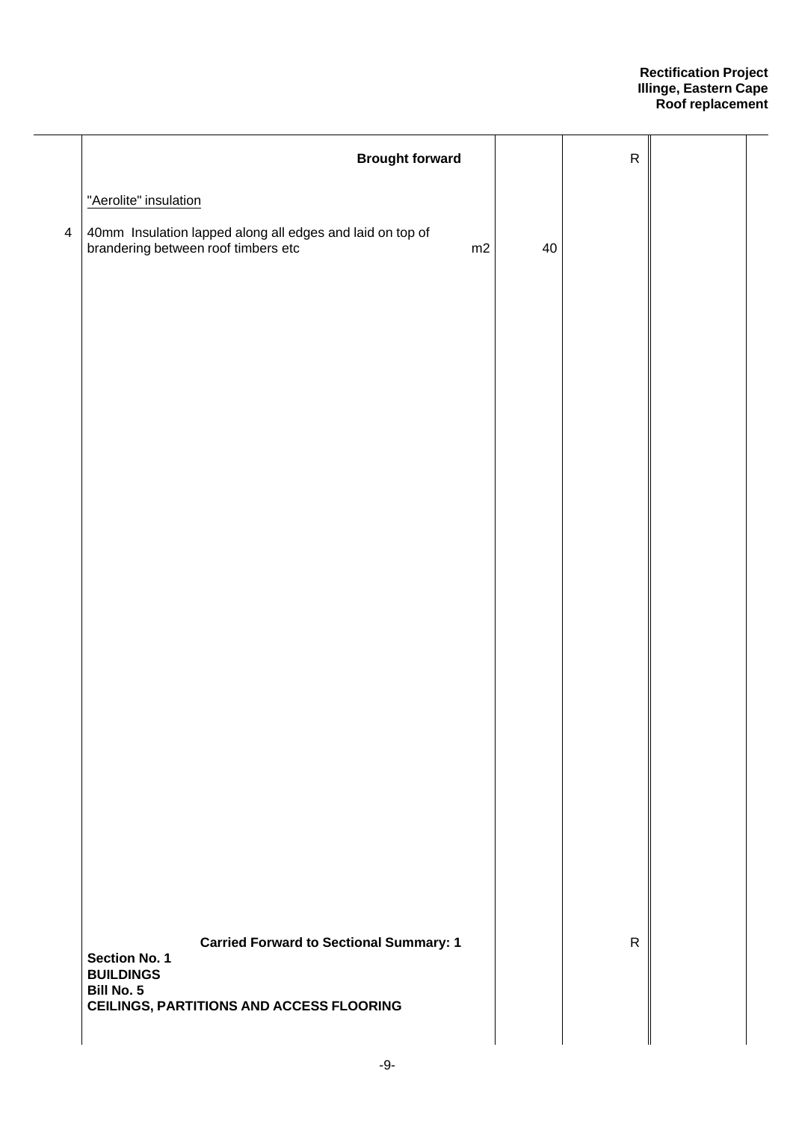|                | <b>Brought forward</b>                                                                                 |    | ${\sf R}$    |  |
|----------------|--------------------------------------------------------------------------------------------------------|----|--------------|--|
|                | "Aerolite" insulation                                                                                  |    |              |  |
| $\overline{4}$ | 40mm Insulation lapped along all edges and laid on top of<br>brandering between roof timbers etc<br>m2 | 40 |              |  |
|                |                                                                                                        |    |              |  |
|                |                                                                                                        |    |              |  |
|                |                                                                                                        |    |              |  |
|                |                                                                                                        |    |              |  |
|                |                                                                                                        |    |              |  |
|                |                                                                                                        |    |              |  |
|                |                                                                                                        |    |              |  |
|                |                                                                                                        |    |              |  |
|                |                                                                                                        |    |              |  |
|                |                                                                                                        |    |              |  |
|                |                                                                                                        |    |              |  |
|                |                                                                                                        |    |              |  |
|                |                                                                                                        |    |              |  |
|                |                                                                                                        |    |              |  |
|                |                                                                                                        |    |              |  |
|                |                                                                                                        |    |              |  |
|                | <b>Carried Forward to Sectional Summary: 1</b><br>Section No. 1<br><b>BUILDINGS</b>                    |    | $\mathsf{R}$ |  |
|                | <b>Bill No. 5</b><br><b>CEILINGS, PARTITIONS AND ACCESS FLOORING</b>                                   |    |              |  |
|                |                                                                                                        |    |              |  |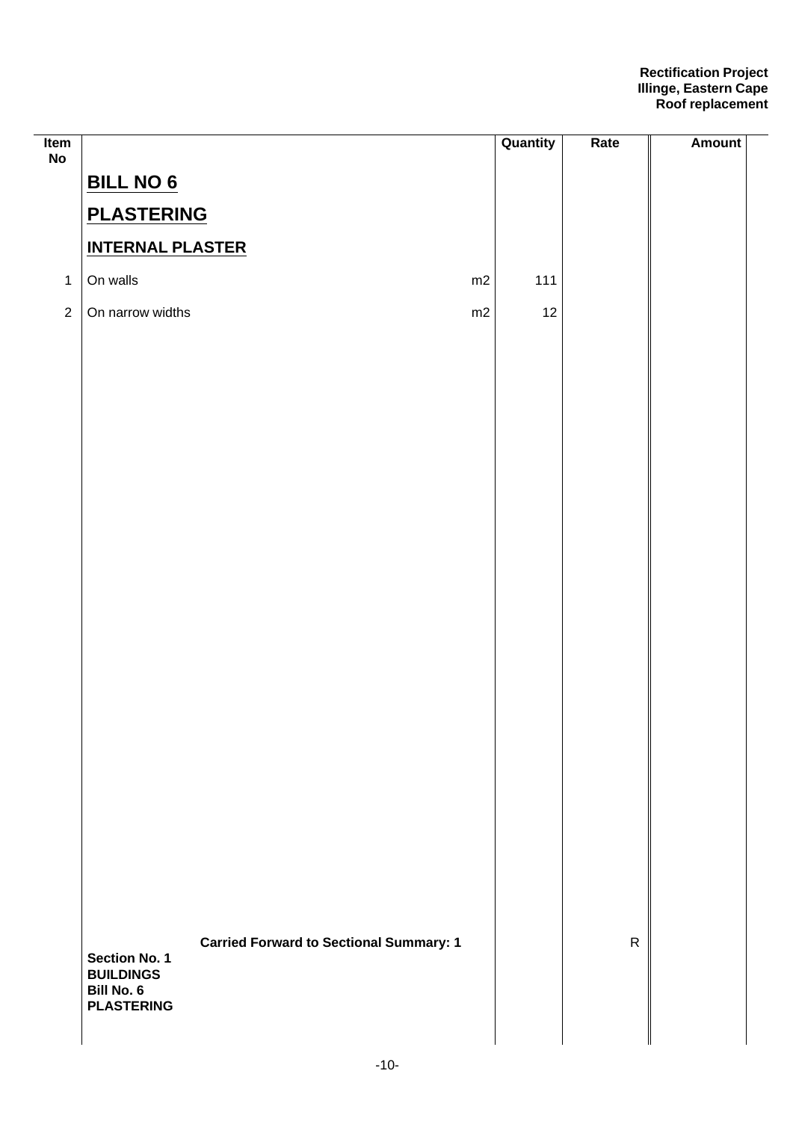| Item<br>No     |                                                 |                                                | Quantity | Rate         | <b>Amount</b> |
|----------------|-------------------------------------------------|------------------------------------------------|----------|--------------|---------------|
|                | <b>BILL NO 6</b>                                |                                                |          |              |               |
|                | <b>PLASTERING</b>                               |                                                |          |              |               |
|                | <b>INTERNAL PLASTER</b>                         |                                                |          |              |               |
| $\mathbf{1}$   | On walls                                        | m2                                             | 111      |              |               |
| $\overline{2}$ | On narrow widths                                | m2                                             | 12       |              |               |
|                |                                                 |                                                |          |              |               |
|                |                                                 |                                                |          |              |               |
|                |                                                 |                                                |          |              |               |
|                |                                                 |                                                |          |              |               |
|                |                                                 |                                                |          |              |               |
|                |                                                 |                                                |          |              |               |
|                |                                                 |                                                |          |              |               |
|                |                                                 |                                                |          |              |               |
|                |                                                 |                                                |          |              |               |
|                |                                                 |                                                |          |              |               |
|                |                                                 |                                                |          |              |               |
|                |                                                 |                                                |          |              |               |
|                |                                                 |                                                |          |              |               |
|                |                                                 |                                                |          |              |               |
|                |                                                 |                                                |          |              |               |
|                |                                                 |                                                |          |              |               |
|                |                                                 |                                                |          |              |               |
|                |                                                 |                                                |          |              |               |
|                |                                                 | <b>Carried Forward to Sectional Summary: 1</b> |          | $\mathsf{R}$ |               |
|                | Section No. 1<br><b>BUILDINGS</b><br>Bill No. 6 |                                                |          |              |               |
|                | <b>PLASTERING</b>                               |                                                |          |              |               |
|                |                                                 |                                                |          |              |               |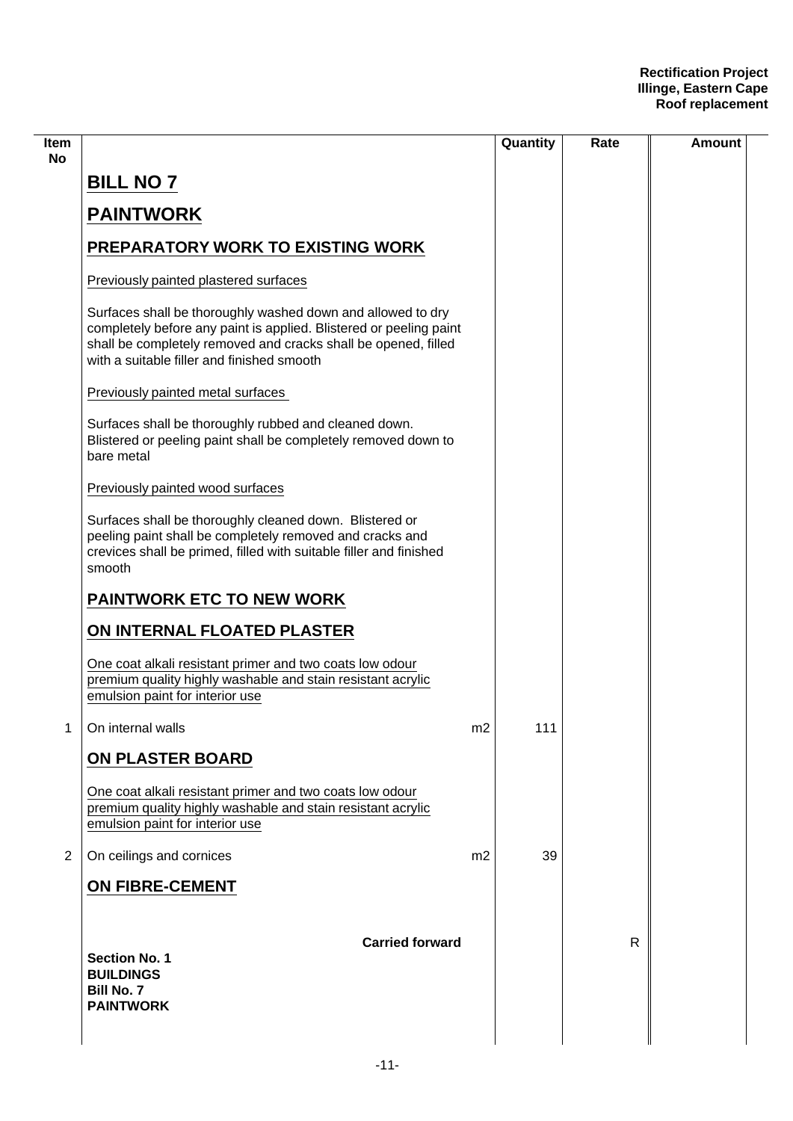| ltem<br>No     |                                                                                                                                                                                                                                                   |                | Quantity | Rate         | Amount |
|----------------|---------------------------------------------------------------------------------------------------------------------------------------------------------------------------------------------------------------------------------------------------|----------------|----------|--------------|--------|
|                | <b>BILL NO 7</b>                                                                                                                                                                                                                                  |                |          |              |        |
|                | <b>PAINTWORK</b>                                                                                                                                                                                                                                  |                |          |              |        |
|                | <b>PREPARATORY WORK TO EXISTING WORK</b>                                                                                                                                                                                                          |                |          |              |        |
|                | Previously painted plastered surfaces                                                                                                                                                                                                             |                |          |              |        |
|                | Surfaces shall be thoroughly washed down and allowed to dry<br>completely before any paint is applied. Blistered or peeling paint<br>shall be completely removed and cracks shall be opened, filled<br>with a suitable filler and finished smooth |                |          |              |        |
|                | Previously painted metal surfaces                                                                                                                                                                                                                 |                |          |              |        |
|                | Surfaces shall be thoroughly rubbed and cleaned down.<br>Blistered or peeling paint shall be completely removed down to<br>bare metal                                                                                                             |                |          |              |        |
|                | Previously painted wood surfaces                                                                                                                                                                                                                  |                |          |              |        |
|                | Surfaces shall be thoroughly cleaned down. Blistered or<br>peeling paint shall be completely removed and cracks and<br>crevices shall be primed, filled with suitable filler and finished<br>smooth                                               |                |          |              |        |
|                | <b>PAINTWORK ETC TO NEW WORK</b>                                                                                                                                                                                                                  |                |          |              |        |
|                | ON INTERNAL FLOATED PLASTER                                                                                                                                                                                                                       |                |          |              |        |
|                | One coat alkali resistant primer and two coats low odour<br>premium quality highly washable and stain resistant acrylic<br>emulsion paint for interior use                                                                                        |                |          |              |        |
| 1              | On internal walls                                                                                                                                                                                                                                 | m2             | 111      |              |        |
|                | ON PLASTER BOARD                                                                                                                                                                                                                                  |                |          |              |        |
|                | One coat alkali resistant primer and two coats low odour<br>premium quality highly washable and stain resistant acrylic<br>emulsion paint for interior use                                                                                        |                |          |              |        |
| $\overline{2}$ | On ceilings and cornices                                                                                                                                                                                                                          | m <sub>2</sub> | 39       |              |        |
|                | <b>ON FIBRE-CEMENT</b>                                                                                                                                                                                                                            |                |          |              |        |
|                | <b>Carried forward</b><br><b>Section No. 1</b><br><b>BUILDINGS</b><br><b>Bill No. 7</b><br><b>PAINTWORK</b>                                                                                                                                       |                |          | $\mathsf{R}$ |        |
|                |                                                                                                                                                                                                                                                   |                |          |              |        |

 $\overline{\phantom{0}}$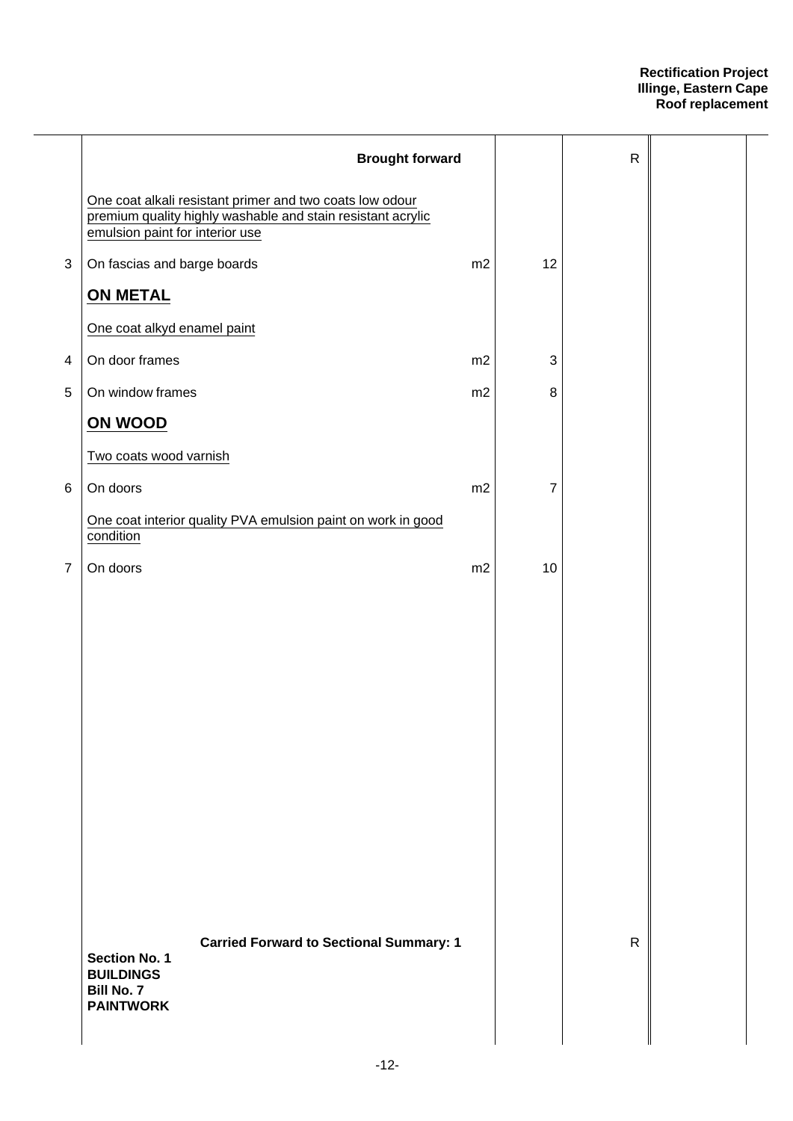|                | <b>Brought forward</b>                                                                                                                                     |    |                           | $\mathsf R$  |  |
|----------------|------------------------------------------------------------------------------------------------------------------------------------------------------------|----|---------------------------|--------------|--|
|                | One coat alkali resistant primer and two coats low odour<br>premium quality highly washable and stain resistant acrylic<br>emulsion paint for interior use |    |                           |              |  |
| $\mathfrak{B}$ | On fascias and barge boards                                                                                                                                | m2 | 12                        |              |  |
|                | <b>ON METAL</b>                                                                                                                                            |    |                           |              |  |
|                | One coat alkyd enamel paint                                                                                                                                |    |                           |              |  |
| 4              | On door frames                                                                                                                                             | m2 | $\ensuremath{\mathsf{3}}$ |              |  |
| 5              | On window frames                                                                                                                                           | m2 | 8                         |              |  |
|                | ON WOOD                                                                                                                                                    |    |                           |              |  |
|                | Two coats wood varnish                                                                                                                                     |    |                           |              |  |
| 6              | On doors                                                                                                                                                   | m2 | 7                         |              |  |
|                | One coat interior quality PVA emulsion paint on work in good<br>condition                                                                                  |    |                           |              |  |
| $\overline{7}$ | On doors                                                                                                                                                   | m2 | 10                        |              |  |
|                |                                                                                                                                                            |    |                           |              |  |
|                | <b>Carried Forward to Sectional Summary: 1</b><br><b>Section No. 1</b><br><b>BUILDINGS</b><br>Bill No. 7<br><b>PAINTWORK</b>                               |    |                           | $\mathsf{R}$ |  |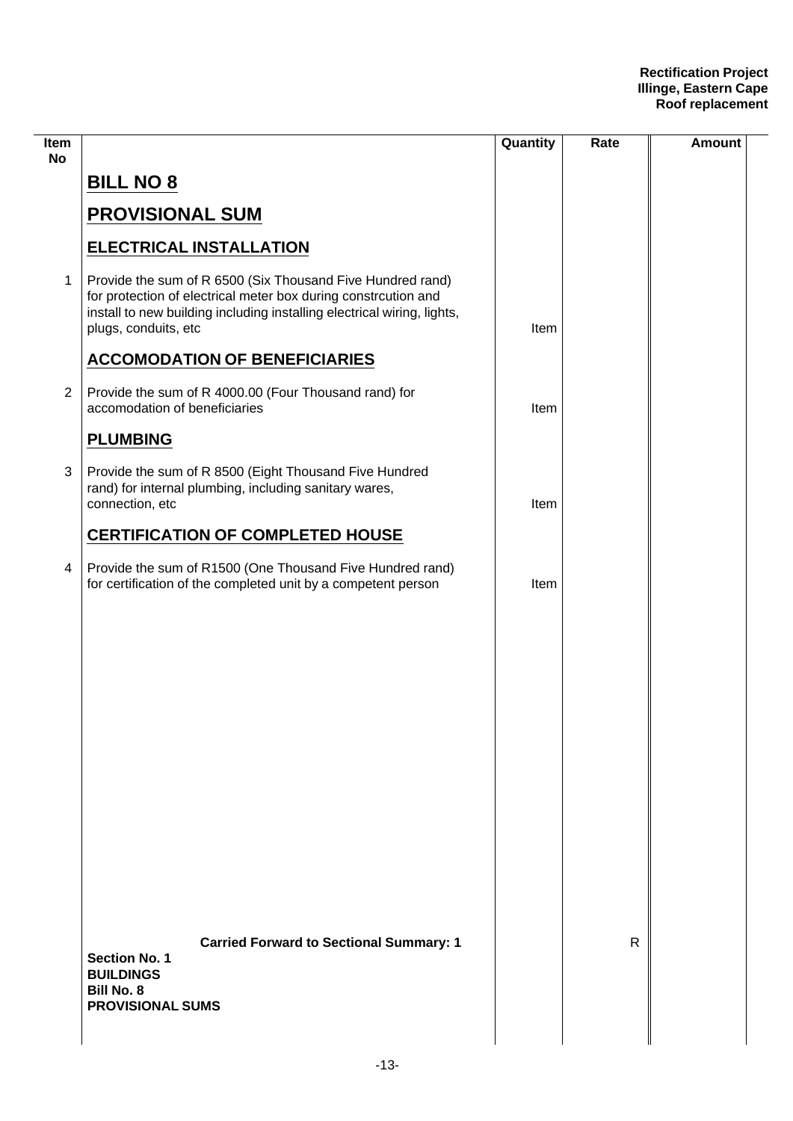| Item<br><b>No</b> |                                                                                                                                                                                                                                 | Quantity | Rate         | Amount |
|-------------------|---------------------------------------------------------------------------------------------------------------------------------------------------------------------------------------------------------------------------------|----------|--------------|--------|
|                   | <b>BILL NO 8</b>                                                                                                                                                                                                                |          |              |        |
|                   | <b>PROVISIONAL SUM</b>                                                                                                                                                                                                          |          |              |        |
|                   | <b>ELECTRICAL INSTALLATION</b>                                                                                                                                                                                                  |          |              |        |
| $\mathbf{1}$      | Provide the sum of R 6500 (Six Thousand Five Hundred rand)<br>for protection of electrical meter box during constrcution and<br>install to new building including installing electrical wiring, lights,<br>plugs, conduits, etc | Item     |              |        |
|                   | <b>ACCOMODATION OF BENEFICIARIES</b>                                                                                                                                                                                            |          |              |        |
| $\overline{2}$    | Provide the sum of R 4000.00 (Four Thousand rand) for<br>accomodation of beneficiaries                                                                                                                                          | Item     |              |        |
|                   | <b>PLUMBING</b>                                                                                                                                                                                                                 |          |              |        |
| 3                 | Provide the sum of R 8500 (Eight Thousand Five Hundred<br>rand) for internal plumbing, including sanitary wares,<br>connection, etc                                                                                             | Item     |              |        |
|                   | <b>CERTIFICATION OF COMPLETED HOUSE</b>                                                                                                                                                                                         |          |              |        |
| $\overline{4}$    | Provide the sum of R1500 (One Thousand Five Hundred rand)<br>for certification of the completed unit by a competent person                                                                                                      | Item     |              |        |
|                   |                                                                                                                                                                                                                                 |          |              |        |
|                   |                                                                                                                                                                                                                                 |          |              |        |
|                   |                                                                                                                                                                                                                                 |          |              |        |
|                   |                                                                                                                                                                                                                                 |          |              |        |
|                   |                                                                                                                                                                                                                                 |          |              |        |
|                   |                                                                                                                                                                                                                                 |          |              |        |
|                   |                                                                                                                                                                                                                                 |          |              |        |
|                   |                                                                                                                                                                                                                                 |          |              |        |
|                   |                                                                                                                                                                                                                                 |          |              |        |
|                   | <b>Carried Forward to Sectional Summary: 1</b><br><b>Section No. 1</b><br><b>BUILDINGS</b><br><b>Bill No. 8</b><br><b>PROVISIONAL SUMS</b>                                                                                      |          | $\mathsf{R}$ |        |
|                   |                                                                                                                                                                                                                                 |          |              |        |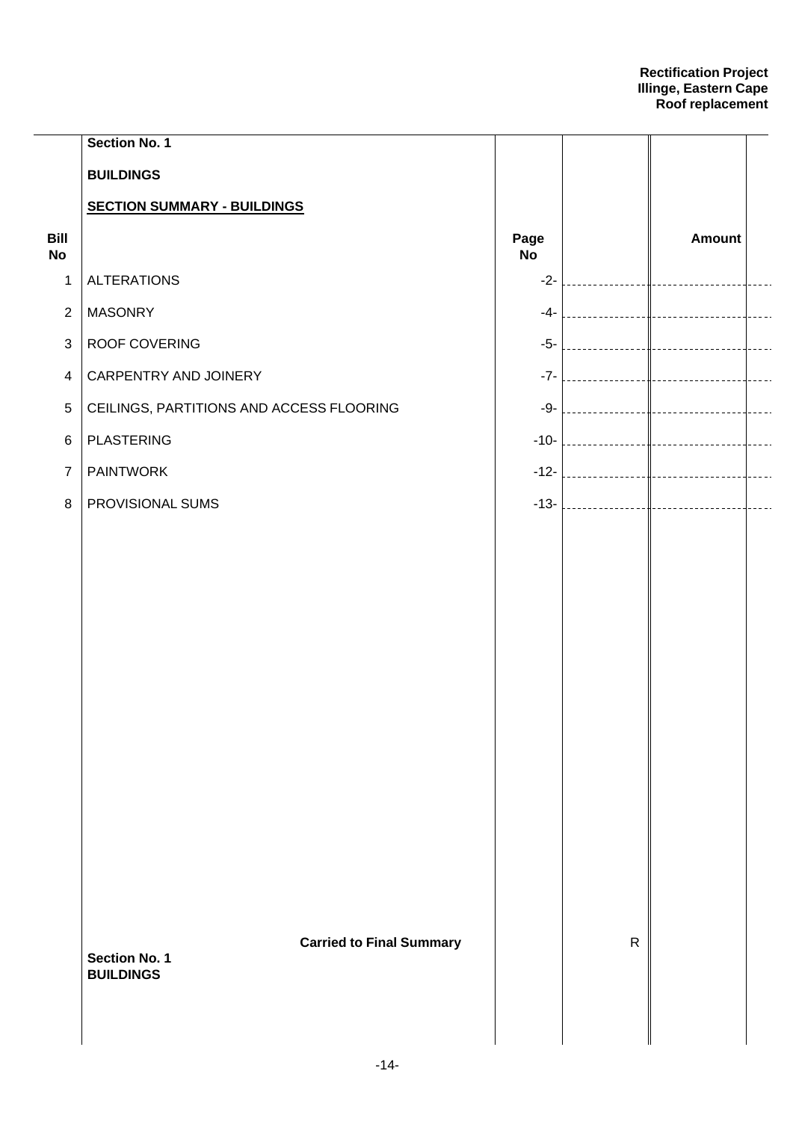|                   | <b>Section No. 1</b>                                    |                   |              |               |                      |
|-------------------|---------------------------------------------------------|-------------------|--------------|---------------|----------------------|
|                   | <b>BUILDINGS</b>                                        |                   |              |               |                      |
|                   | <b>SECTION SUMMARY - BUILDINGS</b>                      |                   |              |               |                      |
| Bill<br><b>No</b> |                                                         | Page<br><b>No</b> |              | <b>Amount</b> |                      |
| 1                 | <b>ALTERATIONS</b>                                      | $-2-$             |              |               |                      |
| $\overline{2}$    | <b>MASONRY</b>                                          |                   |              |               |                      |
| $\mathfrak{B}$    | ROOF COVERING                                           |                   |              |               |                      |
| $\overline{4}$    | CARPENTRY AND JOINERY                                   |                   |              |               |                      |
| $\sqrt{5}$        | CEILINGS, PARTITIONS AND ACCESS FLOORING                |                   |              |               | $\frac{1}{2}$        |
| 6                 | <b>PLASTERING</b>                                       |                   |              |               | $\sim$ $\sim$ $\sim$ |
| $\overline{7}$    | <b>PAINTWORK</b>                                        |                   |              |               | $\overline{a}$       |
| 8                 | PROVISIONAL SUMS                                        |                   |              |               | $\frac{1}{2}$        |
|                   |                                                         |                   |              |               |                      |
|                   |                                                         |                   |              |               |                      |
|                   |                                                         |                   |              |               |                      |
|                   |                                                         |                   |              |               |                      |
|                   |                                                         |                   |              |               |                      |
|                   |                                                         |                   |              |               |                      |
|                   |                                                         |                   |              |               |                      |
|                   |                                                         |                   |              |               |                      |
|                   |                                                         |                   |              |               |                      |
|                   |                                                         |                   |              |               |                      |
|                   |                                                         |                   |              |               |                      |
|                   |                                                         |                   |              |               |                      |
|                   |                                                         |                   |              |               |                      |
|                   | <b>Carried to Final Summary</b><br><b>Section No. 1</b> |                   | $\mathsf{R}$ |               |                      |
|                   | <b>BUILDINGS</b>                                        |                   |              |               |                      |
|                   |                                                         |                   |              |               |                      |
|                   |                                                         |                   |              |               |                      |